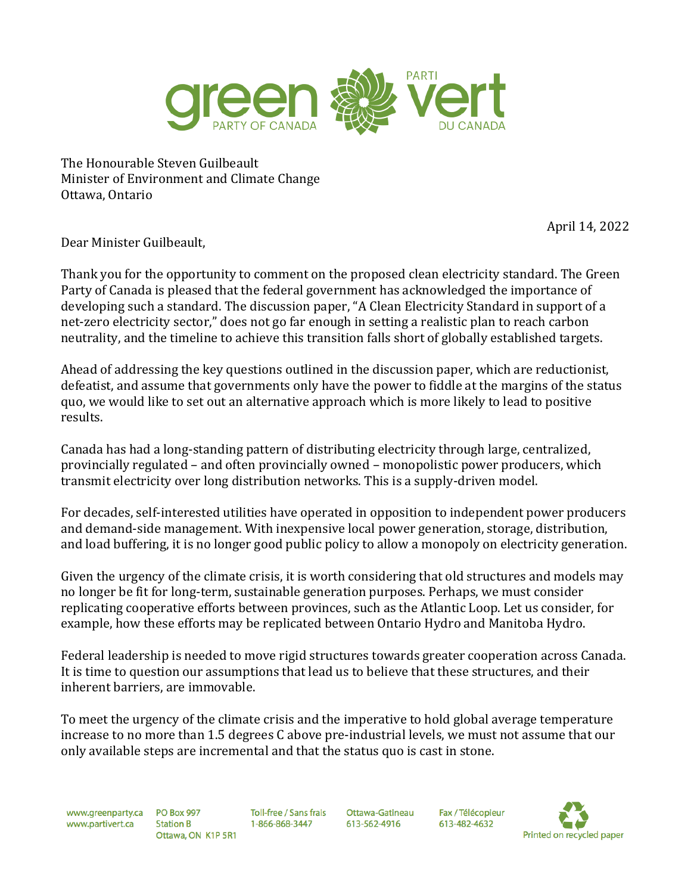

The Honourable Steven Guilbeault Minister of Environment and Climate Change Ottawa, Ontario

April 14, 2022

Dear Minister Guilbeault,

Thank you for the opportunity to comment on the proposed clean electricity standard. The Green Party of Canada is pleased that the federal government has acknowledged the importance of developing such a standard. The discussion paper, "A Clean Electricity Standard in support of a net-zero electricity sector," does not go far enough in setting a realistic plan to reach carbon neutrality, and the timeline to achieve this transition falls short of globally established targets.

Ahead of addressing the key questions outlined in the discussion paper, which are reductionist, defeatist, and assume that governments only have the power to fiddle at the margins of the status quo, we would like to set out an alternative approach which is more likely to lead to positive results.

Canada has had a long-standing pattern of distributing electricity through large, centralized, provincially regulated – and often provincially owned – monopolistic power producers, which transmit electricity over long distribution networks. This is a supply-driven model.

For decades, self-interested utilities have operated in opposition to independent power producers and demand-side management. With inexpensive local power generation, storage, distribution, and load buffering, it is no longer good public policy to allow a monopoly on electricity generation.

Given the urgency of the climate crisis, it is worth considering that old structures and models may no longer be fit for long-term, sustainable generation purposes. Perhaps, we must consider replicating cooperative efforts between provinces, such as the Atlantic Loop. Let us consider, for example, how these efforts may be replicated between Ontario Hydro and Manitoba Hydro.

Federal leadership is needed to move rigid structures towards greater cooperation across Canada. It is time to question our assumptions that lead us to believe that these structures, and their inherent barriers, are immovable.

To meet the urgency of the climate crisis and the imperative to hold global average temperature increase to no more than 1.5 degrees C above pre-industrial levels, we must not assume that our only available steps are incremental and that the status quo is cast in stone.

www.greenparty.ca PO Box 997 www.partivert.ca

**Station B** Ottawa, ON K1P 5R1 Toll-free / Sans frais 1-866-868-3447

Ottawa-Gatineau 613-562-4916

Fax / Télécopieur 613-482-4632

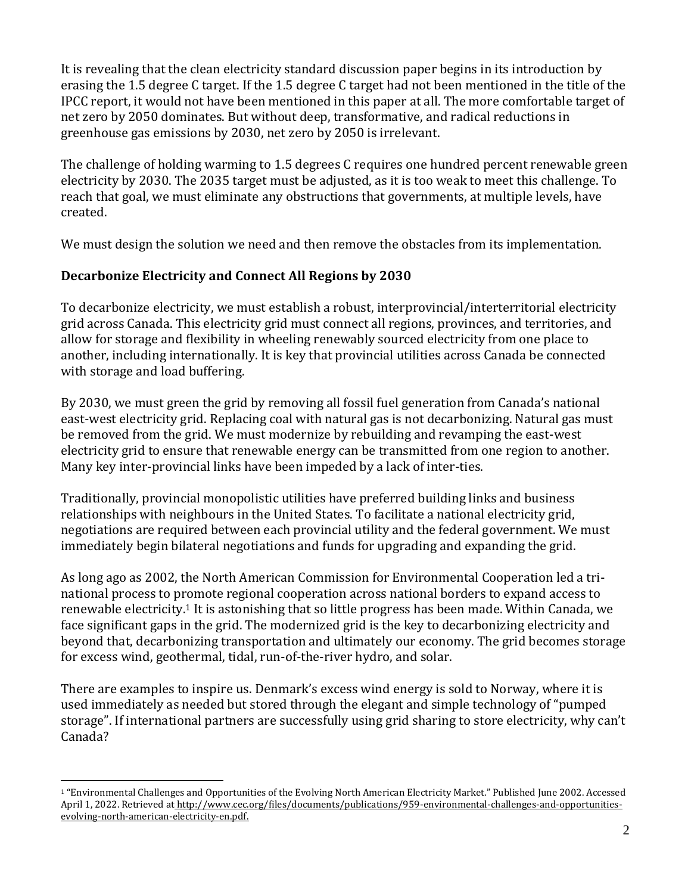It is revealing that the clean electricity standard discussion paper begins in its introduction by erasing the 1.5 degree C target. If the 1.5 degree C target had not been mentioned in the title of the IPCC report, it would not have been mentioned in this paper at all. The more comfortable target of net zero by 2050 dominates. But without deep, transformative, and radical reductions in greenhouse gas emissions by 2030, net zero by 2050 is irrelevant.

The challenge of holding warming to 1.5 degrees C requires one hundred percent renewable green electricity by 2030. The 2035 target must be adjusted, as it is too weak to meet this challenge. To reach that goal, we must eliminate any obstructions that governments, at multiple levels, have created.

We must design the solution we need and then remove the obstacles from its implementation.

# **Decarbonize Electricity and Connect All Regions by 2030**

To decarbonize electricity, we must establish a robust, interprovincial/interterritorial electricity grid across Canada. This electricity grid must connect all regions, provinces, and territories, and allow for storage and flexibility in wheeling renewably sourced electricity from one place to another, including internationally. It is key that provincial utilities across Canada be connected with storage and load buffering.

By 2030, we must green the grid by removing all fossil fuel generation from Canada's national east-west electricity grid. Replacing coal with natural gas is not decarbonizing. Natural gas must be removed from the grid. We must modernize by rebuilding and revamping the east-west electricity grid to ensure that renewable energy can be transmitted from one region to another. Many key inter-provincial links have been impeded by a lack of inter-ties.

Traditionally, provincial monopolistic utilities have preferred building links and business relationships with neighbours in the United States. To facilitate a national electricity grid, negotiations are required between each provincial utility and the federal government. We must immediately begin bilateral negotiations and funds for upgrading and expanding the grid.

As long ago as 2002, the North American Commission for Environmental Cooperation led a trinational process to promote regional cooperation across national borders to expand access to renewable electricity.<sup>1</sup> It is astonishing that so little progress has been made. Within Canada, we face significant gaps in the grid. The modernized grid is the key to decarbonizing electricity and beyond that, decarbonizing transportation and ultimately our economy. The grid becomes storage for excess wind, geothermal, tidal, run-of-the-river hydro, and solar.

There are examples to inspire us. Denmark's excess wind energy is sold to Norway, where it is used immediately as needed but stored through the elegant and simple technology of "pumped storage". If international partners are successfully using grid sharing to store electricity, why can't Canada?

<sup>1</sup> "Environmental Challenges and Opportunities of the Evolving North American Electricity Market." Published June 2002. Accessed April 1, 2022. Retrieved at http://www.cec.org/files/documents/publications/959-environmental-challenges-and-opportunitiesevolving-north-american-electricity-en.pdf.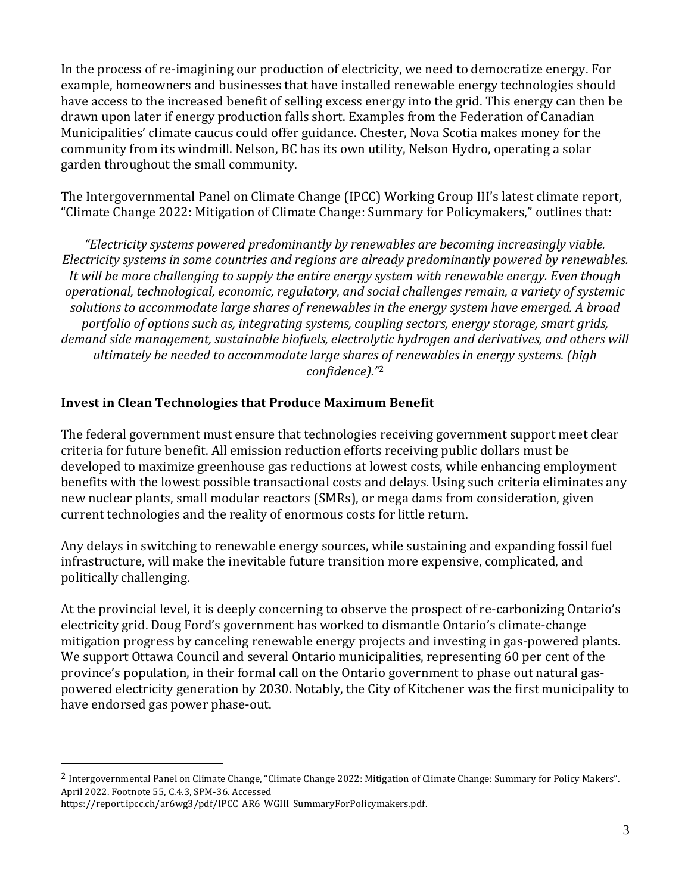In the process of re-imagining our production of electricity, we need to democratize energy. For example, homeowners and businesses that have installed renewable energy technologies should have access to the increased benefit of selling excess energy into the grid. This energy can then be drawn upon later if energy production falls short. Examples from the Federation of Canadian Municipalities' climate caucus could offer guidance. Chester, Nova Scotia makes money for the community from its windmill. Nelson, BC has its own utility, Nelson Hydro, operating a solar garden throughout the small community.

The Intergovernmental Panel on Climate Change (IPCC) Working Group III's latest climate report, "Climate Change 2022: Mitigation of Climate Change: Summary for Policymakers," outlines that:

*"Electricity systems powered predominantly by renewables are becoming increasingly viable. Electricity systems in some countries and regions are already predominantly powered by renewables. It will be more challenging to supply the entire energy system with renewable energy. Even though operational, technological, economic, regulatory, and social challenges remain, a variety of systemic solutions to accommodate large shares of renewables in the energy system have emerged. A broad portfolio of options such as, integrating systems, coupling sectors, energy storage, smart grids, demand side management, sustainable biofuels, electrolytic hydrogen and derivatives, and others will ultimately be needed to accommodate large shares of renewables in energy systems. (high confidence)."*<sup>2</sup>

# **Invest in Clean Technologies that Produce Maximum Benefit**

The federal government must ensure that technologies receiving government support meet clear criteria for future benefit. All emission reduction efforts receiving public dollars must be developed to maximize greenhouse gas reductions at lowest costs, while enhancing employment benefits with the lowest possible transactional costs and delays. Using such criteria eliminates any new nuclear plants, small modular reactors (SMRs), or mega dams from consideration, given current technologies and the reality of enormous costs for little return.

Any delays in switching to renewable energy sources, while sustaining and expanding fossil fuel infrastructure, will make the inevitable future transition more expensive, complicated, and politically challenging.

At the provincial level, it is deeply concerning to observe the prospect of re-carbonizing Ontario's electricity grid. Doug Ford's government has worked to dismantle Ontario's climate-change mitigation progress by canceling renewable energy projects and investing in gas-powered plants. We support Ottawa Council and several Ontario municipalities, representing 60 per cent of the province's population, in their formal call on the Ontario government to phase out natural gaspowered electricity generation by 2030. Notably, the City of Kitchener was the first municipality to have endorsed gas power phase-out.

<sup>2</sup> Intergovernmental Panel on Climate Change, "Climate Change 2022: Mitigation of Climate Change: Summary for Policy Makers". April 2022. Footnote 55, C.4.3, SPM-36. Accesse[d](https://report.ipcc.ch/ar6wg3/pdf/IPCC_AR6_WGIII_SummaryForPolicymakers.pdf)

[https://report.ipcc.ch/ar6wg3/pdf/IPCC\\_AR6\\_WGIII\\_SummaryForPolicymakers.pdf.](https://report.ipcc.ch/ar6wg3/pdf/IPCC_AR6_WGIII_SummaryForPolicymakers.pdf)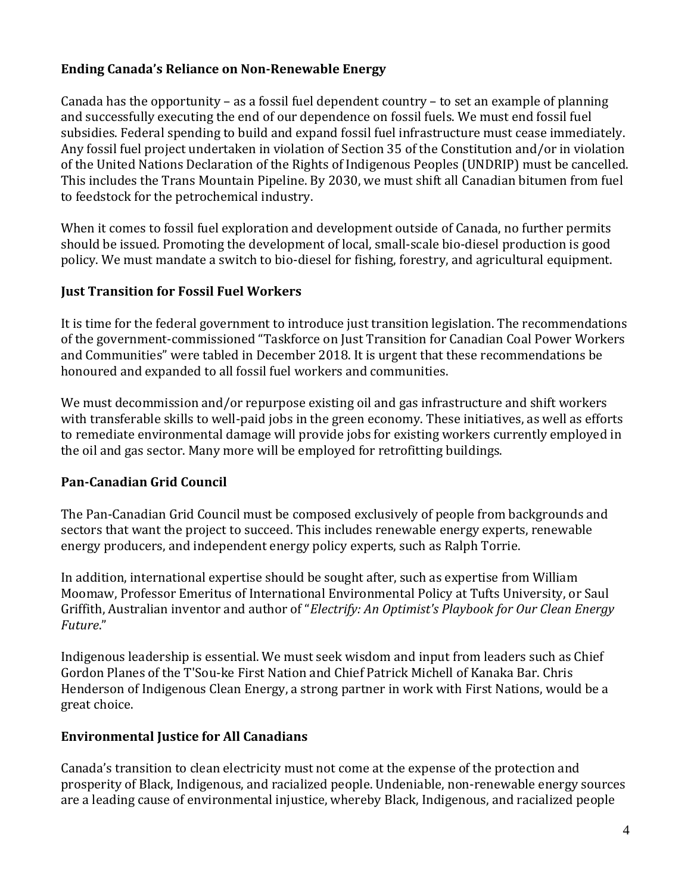# **Ending Canada's Reliance on Non-Renewable Energy**

Canada has the opportunity – as a fossil fuel dependent country – to set an example of planning and successfully executing the end of our dependence on fossil fuels. We must end fossil fuel subsidies. Federal spending to build and expand fossil fuel infrastructure must cease immediately. Any fossil fuel project undertaken in violation of Section 35 of the Constitution and/or in violation of the United Nations Declaration of the Rights of Indigenous Peoples (UNDRIP) must be cancelled. This includes the Trans Mountain Pipeline. By 2030, we must shift all Canadian bitumen from fuel to feedstock for the petrochemical industry.

When it comes to fossil fuel exploration and development outside of Canada, no further permits should be issued. Promoting the development of local, small-scale bio-diesel production is good policy. We must mandate a switch to bio-diesel for fishing, forestry, and agricultural equipment.

# **Just Transition for Fossil Fuel Workers**

It is time for the federal government to introduce just transition legislation. The recommendations of the government-commissioned "Taskforce on Just Transition for Canadian Coal Power Workers and Communities" were tabled in December 2018. It is urgent that these recommendations be honoured and expanded to all fossil fuel workers and communities.

We must decommission and/or repurpose existing oil and gas infrastructure and shift workers with transferable skills to well-paid jobs in the green economy. These initiatives, as well as efforts to remediate environmental damage will provide jobs for existing workers currently employed in the oil and gas sector. Many more will be employed for retrofitting buildings.

# **Pan-Canadian Grid Council**

The Pan-Canadian Grid Council must be composed exclusively of people from backgrounds and sectors that want the project to succeed. This includes renewable energy experts, renewable energy producers, and independent energy policy experts, such as Ralph Torrie.

In addition, international expertise should be sought after, such as expertise from William Moomaw, Professor Emeritus of International Environmental Policy at Tufts University, or Saul Griffith, Australian inventor and author of "*Electrify: An Optimist's Playbook for Our Clean Energy Future*."

Indigenous leadership is essential. We must seek wisdom and input from leaders such as Chief Gordon Planes of the T'Sou-ke First Nation and Chief Patrick Michell of Kanaka Bar. Chris Henderson of Indigenous Clean Energy, a strong partner in work with First Nations, would be a great choice.

### **Environmental Justice for All Canadians**

Canada's transition to clean electricity must not come at the expense of the protection and prosperity of Black, Indigenous, and racialized people. Undeniable, non-renewable energy sources are a leading cause of environmental injustice, whereby Black, Indigenous, and racialized people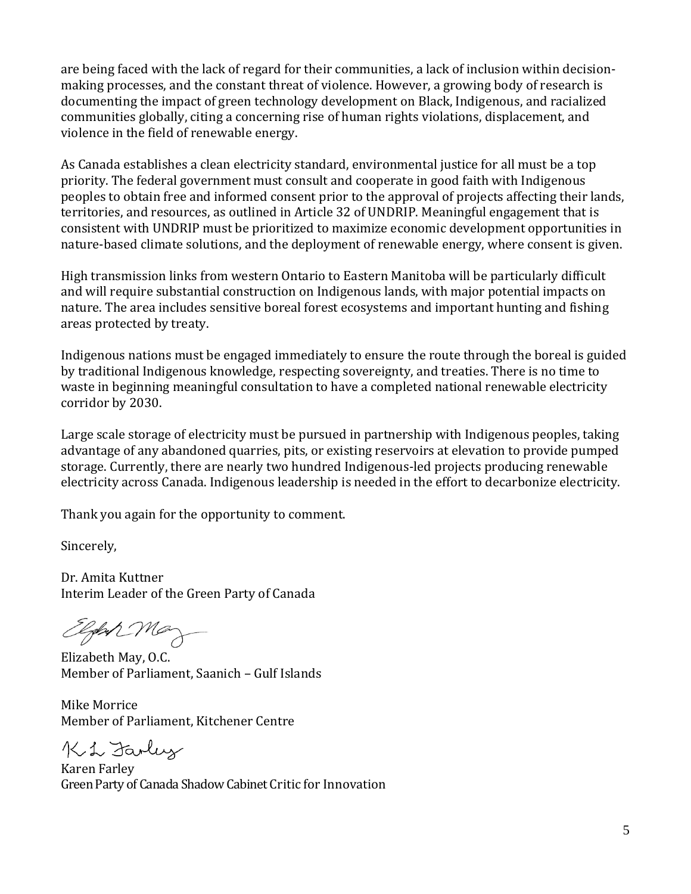are being faced with the lack of regard for their communities, a lack of inclusion within decisionmaking processes, and the constant threat of violence. However, a growing body of research is documenting the impact of green technology development on Black, Indigenous, and racialized communities globally, citing a concerning rise of human rights violations, displacement, and violence in the field of renewable energy.

As Canada establishes a clean electricity standard, environmental justice for all must be a top priority. The federal government must consult and cooperate in good faith with Indigenous peoples to obtain free and informed consent prior to the approval of projects affecting their lands, territories, and resources, as outlined in Article 32 of UNDRIP. Meaningful engagement that is consistent with UNDRIP must be prioritized to maximize economic development opportunities in nature-based climate solutions, and the deployment of renewable energy, where consent is given.

High transmission links from western Ontario to Eastern Manitoba will be particularly difficult and will require substantial construction on Indigenous lands, with major potential impacts on nature. The area includes sensitive boreal forest ecosystems and important hunting and fishing areas protected by treaty.

Indigenous nations must be engaged immediately to ensure the route through the boreal is guided by traditional Indigenous knowledge, respecting sovereignty, and treaties. There is no time to waste in beginning meaningful consultation to have a completed national renewable electricity corridor by 2030.

Large scale storage of electricity must be pursued in partnership with Indigenous peoples, taking advantage of any abandoned quarries, pits, or existing reservoirs at elevation to provide pumped storage. Currently, there are nearly two hundred Indigenous-led projects producing renewable electricity across Canada. Indigenous leadership is needed in the effort to decarbonize electricity.

Thank you again for the opportunity to comment.

Sincerely,

Dr. Amita Kuttner Interim Leader of the Green Party of Canada

Elph May

Elizabeth May, O.C. Member of Parliament, Saanich – Gulf Islands

Mike Morrice Member of Parliament, Kitchener Centre

Ki L Farley

Karen Farley Green Party of Canada Shadow Cabinet Critic for Innovation